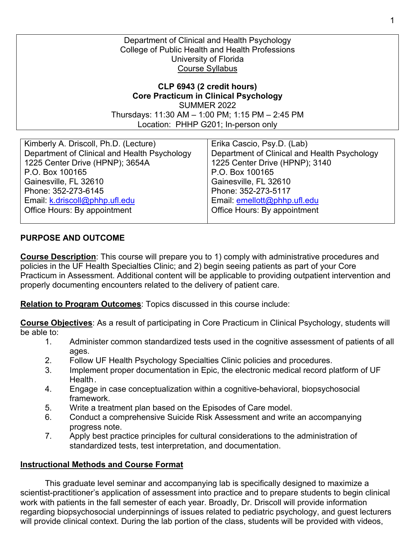Department of Clinical and Health Psychology College of Public Health and Health Professions University of Florida Course Syllabus

**CLP 6943 (2 credit hours) Core Practicum in Clinical Psychology** SUMMER 2022 Thursdays: 11:30 AM – 1:00 PM; 1:15 PM – 2:45 PM Location: PHHP G201; In-person only

| Kimberly A. Driscoll, Ph.D. (Lecture)        | Erika Cascio, Psy.D. (Lab)                   |
|----------------------------------------------|----------------------------------------------|
| Department of Clinical and Health Psychology | Department of Clinical and Health Psychology |
| 1225 Center Drive (HPNP); 3654A              | 1225 Center Drive (HPNP); 3140               |
| P.O. Box 100165                              | P.O. Box 100165                              |
| Gainesville, FL 32610                        | Gainesville, FL 32610                        |
| Phone: 352-273-6145                          | Phone: 352-273-5117                          |
| Email: k.driscoll@phhp.ufl.edu               | Email: emellott@phhp.ufl.edu                 |
| Office Hours: By appointment                 | Office Hours: By appointment                 |
|                                              |                                              |

## **PURPOSE AND OUTCOME**

**Course Description**: This course will prepare you to 1) comply with administrative procedures and policies in the UF Health Specialties Clinic; and 2) begin seeing patients as part of your Core Practicum in Assessment. Additional content will be applicable to providing outpatient intervention and properly documenting encounters related to the delivery of patient care.

**Relation to Program Outcomes**: Topics discussed in this course include:

**Course Objectives**: As a result of participating in Core Practicum in Clinical Psychology, students will be able to:

- 1. Administer common standardized tests used in the cognitive assessment of patients of all ages.
- 2. Follow UF Health Psychology Specialties Clinic policies and procedures.
- 3. Implement proper documentation in Epic, the electronic medical record platform of UF Health.
- 4. Engage in case conceptualization within a cognitive-behavioral, biopsychosocial framework.
- 5. Write a treatment plan based on the Episodes of Care model.
- 6. Conduct a comprehensive Suicide Risk Assessment and write an accompanying progress note.
- 7. Apply best practice principles for cultural considerations to the administration of standardized tests, test interpretation, and documentation.

# **Instructional Methods and Course Format**

This graduate level seminar and accompanying lab is specifically designed to maximize a scientist-practitioner's application of assessment into practice and to prepare students to begin clinical work with patients in the fall semester of each year. Broadly, Dr. Driscoll will provide information regarding biopsychosocial underpinnings of issues related to pediatric psychology, and guest lecturers will provide clinical context. During the lab portion of the class, students will be provided with videos,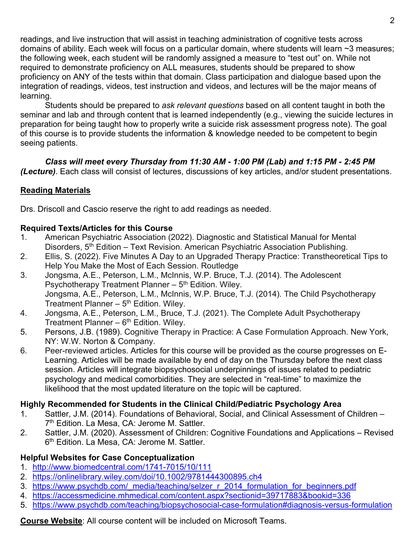readings, and live instruction that will assist in teaching administration of cognitive tests across domains of ability. Each week will focus on a particular domain, where students will learn ~3 measures; the following week, each student will be randomly assigned a measure to "test out" on. While not required to demonstrate proficiency on ALL measures, students should be prepared to show proficiency on ANY of the tests within that domain. Class participation and dialogue based upon the integration of readings, videos, test instruction and videos, and lectures will be the major means of learning.

Students should be prepared to *ask relevant questions* based on all content taught in both the seminar and lab and through content that is learned independently (e.g., viewing the suicide lectures in preparation for being taught how to properly write a suicide risk assessment progress note). The goal of this course is to provide students the information & knowledge needed to be competent to begin seeing patients.

*Class will meet every Thursday from 11:30 AM - 1:00 PM (Lab) and 1:15 PM - 2:45 PM (Lecture)*. Each class will consist of lectures, discussions of key articles, and/or student presentations.

# **Reading Materials**

Drs. Driscoll and Cascio reserve the right to add readings as needed.

# **Required Texts/Articles for this Course**

- 1. American Psychiatric Association (2022). Diagnostic and Statistical Manual for Mental Disorders, 5<sup>th</sup> Edition – Text Revision. American Psychiatric Association Publishing.
- 2. Ellis, S. (2022). Five Minutes A Day to an Upgraded Therapy Practice: Transtheoretical Tips to Help You Make the Most of Each Session. Routledge
- 3. Jongsma, A.E., Peterson, L.M., McInnis, W.P. Bruce, T.J. (2014). The Adolescent Psychotherapy Treatment Planner  $-5<sup>th</sup>$  Edition. Wiley. Jongsma, A.E., Peterson, L.M., McInnis, W.P. Bruce, T.J. (2014). The Child Psychotherapy Treatment Planner  $-5<sup>th</sup>$  Edition. Wiley.
- 4. Jongsma, A.E., Peterson, L.M., Bruce, T.J. (2021). The Complete Adult Psychotherapy Treatment Planner –  $6<sup>th</sup>$  Edition. Wiley.
- 5. Persons, J.B. (1989). Cognitive Therapy in Practice: A Case Formulation Approach. New York, NY: W.W. Norton & Company.
- 6. Peer-reviewed articles. Articles for this course will be provided as the course progresses on E-Learning. Articles will be made available by end of day on the Thursday before the next class session. Articles will integrate biopsychosocial underpinnings of issues related to pediatric psychology and medical comorbidities. They are selected in "real-time" to maximize the likelihood that the most updated literature on the topic will be captured.

# **Highly Recommended for Students in the Clinical Child/Pediatric Psychology Area**

- 1. Sattler, J.M. (2014). Foundations of Behavioral, Social, and Clinical Assessment of Children 7<sup>th</sup> Edition. La Mesa, CA: Jerome M. Sattler.
- 2. Sattler, J.M. (2020). Assessment of Children: Cognitive Foundations and Applications Revised 6<sup>th</sup> Edition. La Mesa, CA: Jerome M. Sattler.

# **Helpful Websites for Case Conceptualization**

- 1. http://www.biomedcentral.com/1741-7015/10/111
- 2. https://onlinelibrary.wiley.com/doi/10.1002/9781444300895.ch4
- 3. https://www.psychdb.com/\_media/teaching/selzer\_r\_2014\_formulation\_for\_beginners.pdf
- 4. https://accessmedicine.mhmedical.com/content.aspx?sectionid=39717883&bookid=336
- 5. https://www.psychdb.com/teaching/biopsychosocial-case-formulation#diagnosis-versus-formulation

# **Course Website**: All course content will be included on Microsoft Teams.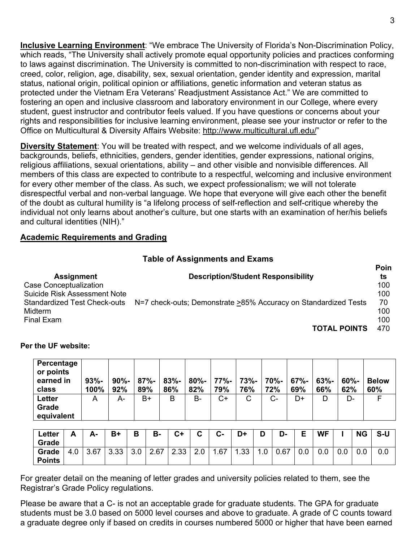**Inclusive Learning Environment**: "We embrace The University of Florida's Non-Discrimination Policy, which reads, "The University shall actively promote equal opportunity policies and practices conforming to laws against discrimination. The University is committed to non-discrimination with respect to race, creed, color, religion, age, disability, sex, sexual orientation, gender identity and expression, marital status, national origin, political opinion or affiliations, genetic information and veteran status as protected under the Vietnam Era Veterans' Readjustment Assistance Act." We are committed to fostering an open and inclusive classroom and laboratory environment in our College, where every student, guest instructor and contributor feels valued. If you have questions or concerns about your rights and responsibilities for inclusive learning environment, please see your instructor or refer to the Office on Multicultural & Diversity Affairs Website: http://www.multicultural.ufl.edu/"

**Diversity Statement**: You will be treated with respect, and we welcome individuals of all ages, backgrounds, beliefs, ethnicities, genders, gender identities, gender expressions, national origins, religious affiliations, sexual orientations, ability – and other visible and nonvisible differences. All members of this class are expected to contribute to a respectful, welcoming and inclusive environment for every other member of the class. As such, we expect professionalism; we will not tolerate disrespectful verbal and non-verbal language. We hope that everyone will give each other the benefit of the doubt as cultural humility is "a lifelong process of self-reflection and self-critique whereby the individual not only learns about another's culture, but one starts with an examination of her/his beliefs and cultural identities (NIH)."

## **Academic Requirements and Grading**

## **Table of Assignments and Exams**

|                                     |                                                                 | . VIII |
|-------------------------------------|-----------------------------------------------------------------|--------|
| <b>Assignment</b>                   | <b>Description/Student Responsibility</b>                       | ts     |
| Case Conceptualization              |                                                                 | 100    |
| <b>Suicide Risk Assessment Note</b> |                                                                 | 100    |
| <b>Standardized Test Check-outs</b> | N=7 check-outs; Demonstrate >85% Accuracy on Standardized Tests | 70     |
| Midterm                             |                                                                 | 100    |
| Final Exam                          |                                                                 | 100    |
|                                     | <b>TOTAL POINTS</b>                                             | 470    |

#### **Per the UF website:**

| Percentage<br>or points<br>earned in | $93% -$ | $90% -$ | 87%- | $83% -$ | 80%-   77%- |     | 73%- | 70%- | 67%- | $63% -$ | $60\%$ - | <b>Below</b> |
|--------------------------------------|---------|---------|------|---------|-------------|-----|------|------|------|---------|----------|--------------|
| class                                | 100%    | 92%     | 89%  | 86%     | 82%         | 79% | 76%  | 72%  | 69%  | 66%     | 62%      | 60%          |
| <b>Letter</b>                        | A       | A-      | B+   | B       | B-          | C+  | С    | $C-$ | D+   | D       | D-       |              |
| Grade                                |         |         |      |         |             |     |      |      |      |         |          |              |
| equivalent                           |         |         |      |         |             |     |      |      |      |         |          |              |

| Letter<br>Grade        | А   | А-   | B+   | в             | В-   | C+   | $\sim$<br>v | $C -$ | D+  | D | D-   | Е   | <b>WF</b> |               | <b>NG</b> | $S-U$   |
|------------------------|-----|------|------|---------------|------|------|-------------|-------|-----|---|------|-----|-----------|---------------|-----------|---------|
| Grade<br><b>Points</b> | 4.0 | 3.67 | 3.33 | $\sim$<br>J.U | 2.67 | 2.33 | 2.0         | .67   | .33 |   | 0.67 | 0.0 | 0.0       | $\sim$ $\sim$ | 0.0       | $0.0\,$ |

For greater detail on the meaning of letter grades and university policies related to them, see the Registrar's Grade Policy regulations.

Please be aware that a C- is not an acceptable grade for graduate students. The GPA for graduate students must be 3.0 based on 5000 level courses and above to graduate. A grade of C counts toward a graduate degree only if based on credits in courses numbered 5000 or higher that have been earned

**Poin**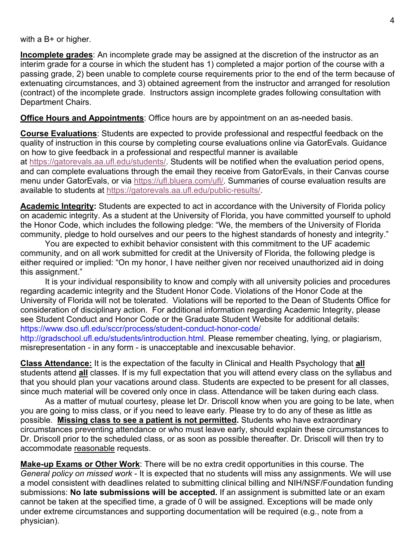with a B+ or higher.

**Incomplete grades**: An incomplete grade may be assigned at the discretion of the instructor as an interim grade for a course in which the student has 1) completed a major portion of the course with a passing grade, 2) been unable to complete course requirements prior to the end of the term because of extenuating circumstances, and 3) obtained agreement from the instructor and arranged for resolution (contract) of the incomplete grade. Instructors assign incomplete grades following consultation with Department Chairs.

**Office Hours and Appointments**: Office hours are by appointment on an as-needed basis.

**Course Evaluations**: Students are expected to provide professional and respectful feedback on the quality of instruction in this course by completing course evaluations online via GatorEvals. Guidance on how to give feedback in a professional and respectful manner is available at https://gatorevals.aa.ufl.edu/students/. Students will be notified when the evaluation period opens, and can complete evaluations through the email they receive from GatorEvals, in their Canvas course menu under GatorEvals, or via https://ufl.bluera.com/ufl/. Summaries of course evaluation results are available to students at https://gatorevals.aa.ufl.edu/public-results/.

**Academic Integrity:** Students are expected to act in accordance with the University of Florida policy on academic integrity. As a student at the University of Florida, you have committed yourself to uphold the Honor Code, which includes the following pledge: "We, the members of the University of Florida community, pledge to hold ourselves and our peers to the highest standards of honesty and integrity."

You are expected to exhibit behavior consistent with this commitment to the UF academic community, and on all work submitted for credit at the University of Florida, the following pledge is either required or implied: "On my honor, I have neither given nor received unauthorized aid in doing this assignment."

It is your individual responsibility to know and comply with all university policies and procedures regarding academic integrity and the Student Honor Code. Violations of the Honor Code at the University of Florida will not be tolerated. Violations will be reported to the Dean of Students Office for consideration of disciplinary action. For additional information regarding Academic Integrity, please see Student Conduct and Honor Code or the Graduate Student Website for additional details: https://www.dso.ufl.edu/sccr/process/student-conduct-honor-code/

http://gradschool.ufl.edu/students/introduction.html. Please remember cheating, lying, or plagiarism, misrepresentation - in any form - is unacceptable and inexcusable behavior.

**Class Attendance:** It is the expectation of the faculty in Clinical and Health Psychology that **all** students attend **all** classes. If is my full expectation that you will attend every class on the syllabus and that you should plan your vacations around class. Students are expected to be present for all classes, since much material will be covered only once in class. Attendance will be taken during each class.

As a matter of mutual courtesy, please let Dr. Driscoll know when you are going to be late, when you are going to miss class, or if you need to leave early. Please try to do any of these as little as possible. **Missing class to see a patient is not permitted.** Students who have extraordinary circumstances preventing attendance or who must leave early, should explain these circumstances to Dr. Driscoll prior to the scheduled class, or as soon as possible thereafter. Dr. Driscoll will then try to accommodate reasonable requests.

**Make-up Exams or Other Work**: There will be no extra credit opportunities in this course. The *General policy on missed work* - It is expected that no students will miss any assignments. We will use a model consistent with deadlines related to submitting clinical billing and NIH/NSF/Foundation funding submissions: **No late submissions will be accepted.** If an assignment is submitted late or an exam cannot be taken at the specified time, a grade of 0 will be assigned. Exceptions will be made only under extreme circumstances and supporting documentation will be required (e.g., note from a physician).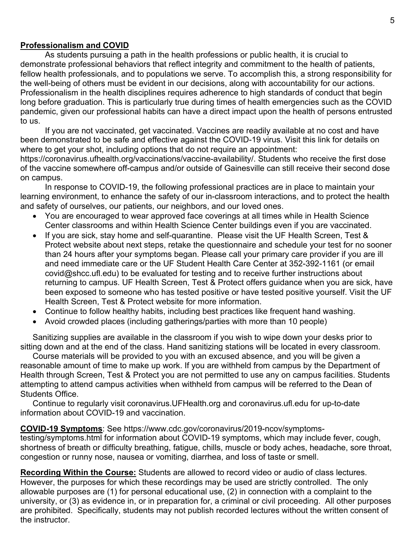5

#### **Professionalism and COVID**

As students pursuing a path in the health professions or public health, it is crucial to demonstrate professional behaviors that reflect integrity and commitment to the health of patients, fellow health professionals, and to populations we serve. To accomplish this, a strong responsibility for the well-being of others must be evident in our decisions, along with accountability for our actions. Professionalism in the health disciplines requires adherence to high standards of conduct that begin long before graduation. This is particularly true during times of health emergencies such as the COVID pandemic, given our professional habits can have a direct impact upon the health of persons entrusted to us.

If you are not vaccinated, get vaccinated. Vaccines are readily available at no cost and have been demonstrated to be safe and effective against the COVID-19 virus. Visit this link for details on where to get your shot, including options that do not require an appointment:

https://coronavirus.ufhealth.org/vaccinations/vaccine-availability/. Students who receive the first dose of the vaccine somewhere off-campus and/or outside of Gainesville can still receive their second dose on campus.

In response to COVID-19, the following professional practices are in place to maintain your learning environment, to enhance the safety of our in-classroom interactions, and to protect the health and safety of ourselves, our patients, our neighbors, and our loved ones.

- You are encouraged to wear approved face coverings at all times while in Health Science Center classrooms and within Health Science Center buildings even if you are vaccinated.
- If you are sick, stay home and self-quarantine. Please visit the UF Health Screen, Test & Protect website about next steps, retake the questionnaire and schedule your test for no sooner than 24 hours after your symptoms began. Please call your primary care provider if you are ill and need immediate care or the UF Student Health Care Center at 352-392-1161 (or email covid@shcc.ufl.edu) to be evaluated for testing and to receive further instructions about returning to campus. UF Health Screen, Test & Protect offers guidance when you are sick, have been exposed to someone who has tested positive or have tested positive yourself. Visit the UF Health Screen, Test & Protect website for more information.
- Continue to follow healthy habits, including best practices like frequent hand washing.
- Avoid crowded places (including gatherings/parties with more than 10 people)

Sanitizing supplies are available in the classroom if you wish to wipe down your desks prior to sitting down and at the end of the class. Hand sanitizing stations will be located in every classroom.

Course materials will be provided to you with an excused absence, and you will be given a reasonable amount of time to make up work. If you are withheld from campus by the Department of Health through Screen, Test & Protect you are not permitted to use any on campus facilities. Students attempting to attend campus activities when withheld from campus will be referred to the Dean of Students Office.

Continue to regularly visit coronavirus.UFHealth.org and coronavirus.ufl.edu for up-to-date information about COVID-19 and vaccination.

### **COVID-19 Symptoms**: See https://www.cdc.gov/coronavirus/2019-ncov/symptoms-

testing/symptoms.html for information about COVID-19 symptoms, which may include fever, cough, shortness of breath or difficulty breathing, fatigue, chills, muscle or body aches, headache, sore throat, congestion or runny nose, nausea or vomiting, diarrhea, and loss of taste or smell.

**Recording Within the Course:** Students are allowed to record video or audio of class lectures. However, the purposes for which these recordings may be used are strictly controlled. The only allowable purposes are (1) for personal educational use, (2) in connection with a complaint to the university, or (3) as evidence in, or in preparation for, a criminal or civil proceeding. All other purposes are prohibited. Specifically, students may not publish recorded lectures without the written consent of the instructor.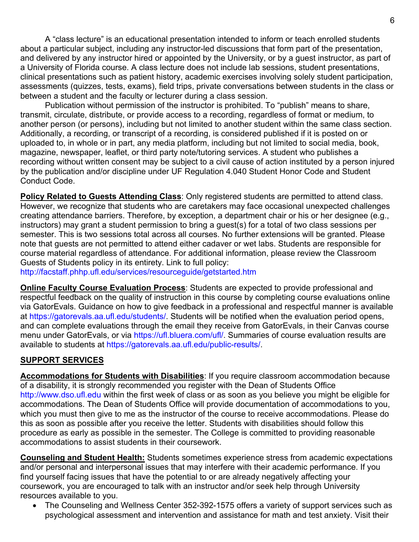A "class lecture" is an educational presentation intended to inform or teach enrolled students about a particular subject, including any instructor-led discussions that form part of the presentation, and delivered by any instructor hired or appointed by the University, or by a guest instructor, as part of a University of Florida course. A class lecture does not include lab sessions, student presentations, clinical presentations such as patient history, academic exercises involving solely student participation, assessments (quizzes, tests, exams), field trips, private conversations between students in the class or between a student and the faculty or lecturer during a class session.

Publication without permission of the instructor is prohibited. To "publish" means to share, transmit, circulate, distribute, or provide access to a recording, regardless of format or medium, to another person (or persons), including but not limited to another student within the same class section. Additionally, a recording, or transcript of a recording, is considered published if it is posted on or uploaded to, in whole or in part, any media platform, including but not limited to social media, book, magazine, newspaper, leaflet, or third party note/tutoring services. A student who publishes a recording without written consent may be subject to a civil cause of action instituted by a person injured by the publication and/or discipline under UF Regulation 4.040 Student Honor Code and Student Conduct Code.

**Policy Related to Guests Attending Class**: Only registered students are permitted to attend class. However, we recognize that students who  $\overline{a}$ re caretakers may face occasional unexpected challenges creating attendance barriers. Therefore, by exception, a department chair or his or her designee (e.g., instructors) may grant a student permission to bring a guest(s) for a total of two class sessions per semester. This is two sessions total across all courses. No further extensions will be granted. Please note that guests are not permitted to attend either cadaver or wet labs. Students are responsible for course material regardless of attendance. For additional information, please review the Classroom Guests of Students policy in its entirety. Link to full policy:

http://facstaff.phhp.ufl.edu/services/resourceguide/getstarted.htm

**Online Faculty Course Evaluation Process**: Students are expected to provide professional and respectful feedback on the quality of instruction in this course by completing course evaluations online via GatorEvals. Guidance on how to give feedback in a professional and respectful manner is available at https://gatorevals.aa.ufl.edu/students/. Students will be notified when the evaluation period opens, and can complete evaluations through the email they receive from GatorEvals, in their Canvas course menu under GatorEvals, or via https://ufl.bluera.com/ufl/. Summaries of course evaluation results are available to students at https://gatorevals.aa.ufl.edu/public-results/.

# **SUPPORT SERVICES**

**Accommodations for Students with Disabilities**: If you require classroom accommodation because of a disability, it is strongly recommended you register with the Dean of Students Office http://www.dso.ufl.edu within the first week of class or as soon as you believe you might be eligible for accommodations. The Dean of Students Office will provide documentation of accommodations to you, which you must then give to me as the instructor of the course to receive accommodations. Please do this as soon as possible after you receive the letter. Students with disabilities should follow this procedure as early as possible in the semester. The College is committed to providing reasonable accommodations to assist students in their coursework.

**Counseling and Student Health:** Students sometimes experience stress from academic expectations and/or personal and interpersonal issues that may interfere with their academic performance. If you find yourself facing issues that have the potential to or are already negatively affecting your coursework, you are encouraged to talk with an instructor and/or seek help through University resources available to you.

• The Counseling and Wellness Center 352-392-1575 offers a variety of support services such as psychological assessment and intervention and assistance for math and test anxiety. Visit their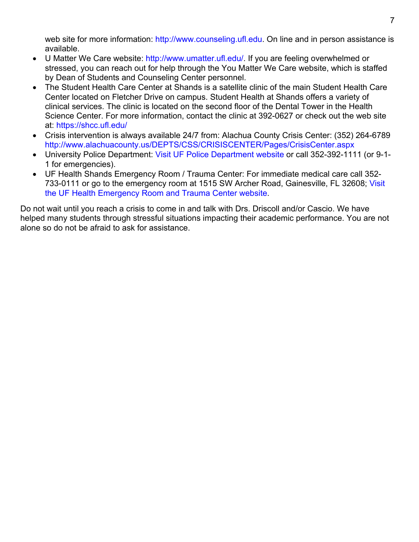web site for more information: http://www.counseling.ufl.edu. On line and in person assistance is available.

- U Matter We Care website: http://www.umatter.ufl.edu/. If you are feeling overwhelmed or stressed, you can reach out for help through the You Matter We Care website, which is staffed by Dean of Students and Counseling Center personnel.
- The Student Health Care Center at Shands is a satellite clinic of the main Student Health Care Center located on Fletcher Drive on campus. Student Health at Shands offers a variety of clinical services. The clinic is located on the second floor of the Dental Tower in the Health Science Center. For more information, contact the clinic at 392-0627 or check out the web site at: https://shcc.ufl.edu/
- Crisis intervention is always available 24/7 from: Alachua County Crisis Center: (352) 264-6789 http://www.alachuacounty.us/DEPTS/CSS/CRISISCENTER/Pages/CrisisCenter.aspx
- University Police Department: Visit UF Police Department website or call 352-392-1111 (or 9-1- 1 for emergencies).
- UF Health Shands Emergency Room / Trauma Center: For immediate medical care call 352- 733-0111 or go to the emergency room at 1515 SW Archer Road, Gainesville, FL 32608; Visit the UF Health Emergency Room and Trauma Center website.

Do not wait until you reach a crisis to come in and talk with Drs. Driscoll and/or Cascio. We have helped many students through stressful situations impacting their academic performance. You are not alone so do not be afraid to ask for assistance.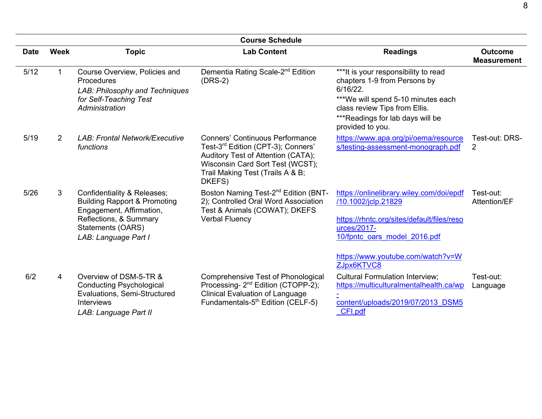|             | <b>Course Schedule</b> |                                                                                                                                                                           |                                                                                                                                                                                                                  |                                                                                                                                                                                                                   |                                      |  |  |  |  |  |
|-------------|------------------------|---------------------------------------------------------------------------------------------------------------------------------------------------------------------------|------------------------------------------------------------------------------------------------------------------------------------------------------------------------------------------------------------------|-------------------------------------------------------------------------------------------------------------------------------------------------------------------------------------------------------------------|--------------------------------------|--|--|--|--|--|
| <b>Date</b> | <b>Week</b>            | <b>Topic</b>                                                                                                                                                              | <b>Lab Content</b>                                                                                                                                                                                               | <b>Readings</b>                                                                                                                                                                                                   | <b>Outcome</b><br><b>Measurement</b> |  |  |  |  |  |
| 5/12        | 1.                     | Course Overview, Policies and<br>Procedures<br>LAB: Philosophy and Techniques<br>for Self-Teaching Test<br>Administration                                                 | Dementia Rating Scale-2 <sup>nd</sup> Edition<br>$(DRS-2)$                                                                                                                                                       | *** It is your responsibility to read<br>chapters 1-9 from Persons by<br>6/16/22.<br>***We will spend 5-10 minutes each<br>class review Tips from Ellis.<br>*** Readings for lab days will be<br>provided to you. |                                      |  |  |  |  |  |
| 5/19        | $\overline{2}$         | <b>LAB: Frontal Network/Executive</b><br>functions                                                                                                                        | <b>Conners' Continuous Performance</b><br>Test-3 <sup>rd</sup> Edition (CPT-3); Conners'<br>Auditory Test of Attention (CATA);<br>Wisconsin Card Sort Test (WCST);<br>Trail Making Test (Trails A & B;<br>DKEFS) | https://www.apa.org/pi/oema/resource<br>s/testing-assessment-monograph.pdf                                                                                                                                        | Test-out: DRS-<br>2                  |  |  |  |  |  |
| 5/26        | 3                      | Confidentiality & Releases;<br><b>Building Rapport &amp; Promoting</b><br>Engagement, Affirmation,<br>Reflections, & Summary<br>Statements (OARS)<br>LAB: Language Part I | Boston Naming Test-2 <sup>nd</sup> Edition (BNT-<br>2); Controlled Oral Word Association<br>Test & Animals (COWAT); DKEFS<br><b>Verbal Fluency</b>                                                               | https://onlinelibrary.wiley.com/doi/epdf<br>/10.1002/jclp.21829<br>https://rhntc.org/sites/default/files/reso<br>urces/2017-<br>10/fpntc oars model 2016.pdf<br>https://www.youtube.com/watch?v=W<br>ZJpx6KTVC8   | Test-out:<br>Attention/EF            |  |  |  |  |  |
| 6/2         | 4                      | Overview of DSM-5-TR &<br><b>Conducting Psychological</b><br>Evaluations, Semi-Structured<br><b>Interviews</b><br>LAB: Language Part II                                   | Comprehensive Test of Phonological<br>Processing- 2 <sup>nd</sup> Edition (CTOPP-2);<br><b>Clinical Evaluation of Language</b><br>Fundamentals-5 <sup>th</sup> Edition (CELF-5)                                  | <b>Cultural Formulation Interview;</b><br>https://multiculturalmentalhealth.ca/wp<br>content/uploads/2019/07/2013 DSM5<br>CFI.pdf                                                                                 | Test-out:<br>Language                |  |  |  |  |  |